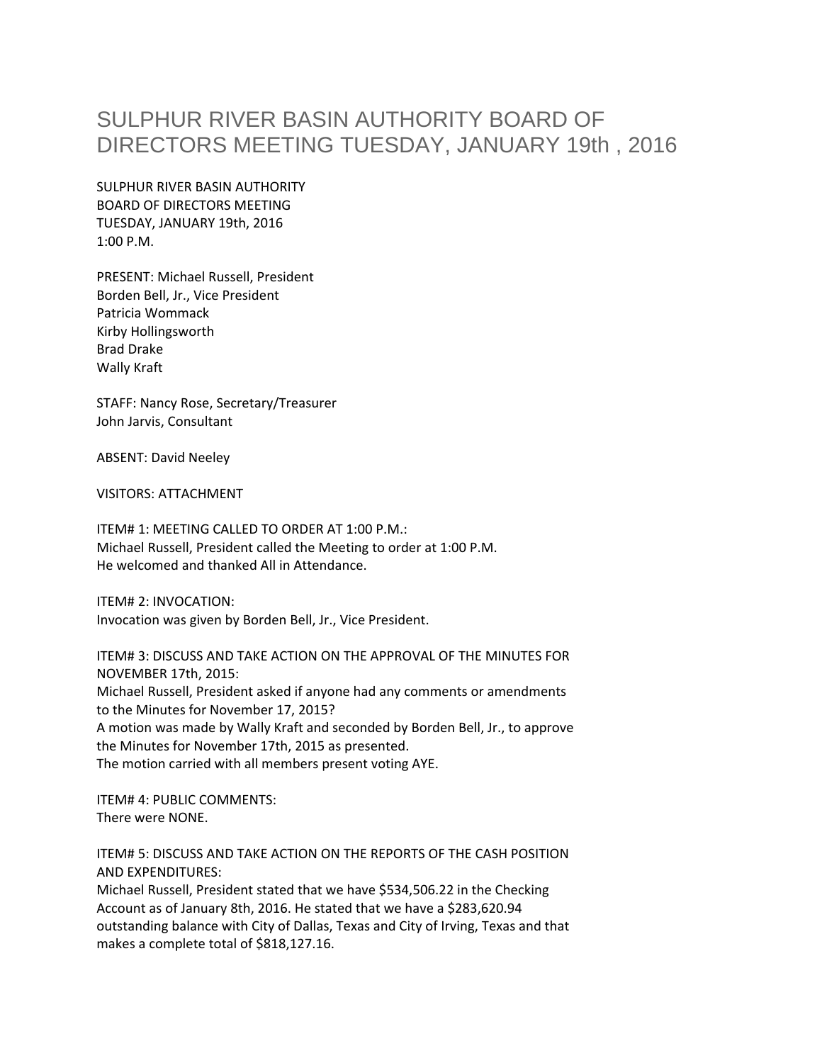## SULPHUR RIVER BASIN AUTHORITY BOARD OF DIRECTORS MEETING TUESDAY, JANUARY 19th , 2016

SULPHUR RIVER BASIN AUTHORITY BOARD OF DIRECTORS MEETING TUESDAY, JANUARY 19th, 2016 1:00 P.M.

PRESENT: Michael Russell, President Borden Bell, Jr., Vice President Patricia Wommack Kirby Hollingsworth Brad Drake Wally Kraft

STAFF: Nancy Rose, Secretary/Treasurer John Jarvis, Consultant

ABSENT: David Neeley

VISITORS: ATTACHMENT

ITEM# 1: MEETING CALLED TO ORDER AT 1:00 P.M.: Michael Russell, President called the Meeting to order at 1:00 P.M. He welcomed and thanked All in Attendance.

ITEM# 2: INVOCATION: Invocation was given by Borden Bell, Jr., Vice President.

ITEM# 3: DISCUSS AND TAKE ACTION ON THE APPROVAL OF THE MINUTES FOR NOVEMBER 17th, 2015: Michael Russell, President asked if anyone had any comments or amendments to the Minutes for November 17, 2015? A motion was made by Wally Kraft and seconded by Borden Bell, Jr., to approve the Minutes for November 17th, 2015 as presented. The motion carried with all members present voting AYE.

ITEM# 4: PUBLIC COMMENTS: There were NONE.

ITEM# 5: DISCUSS AND TAKE ACTION ON THE REPORTS OF THE CASH POSITION AND EXPENDITURES:

Michael Russell, President stated that we have \$534,506.22 in the Checking Account as of January 8th, 2016. He stated that we have a \$283,620.94 outstanding balance with City of Dallas, Texas and City of Irving, Texas and that makes a complete total of \$818,127.16.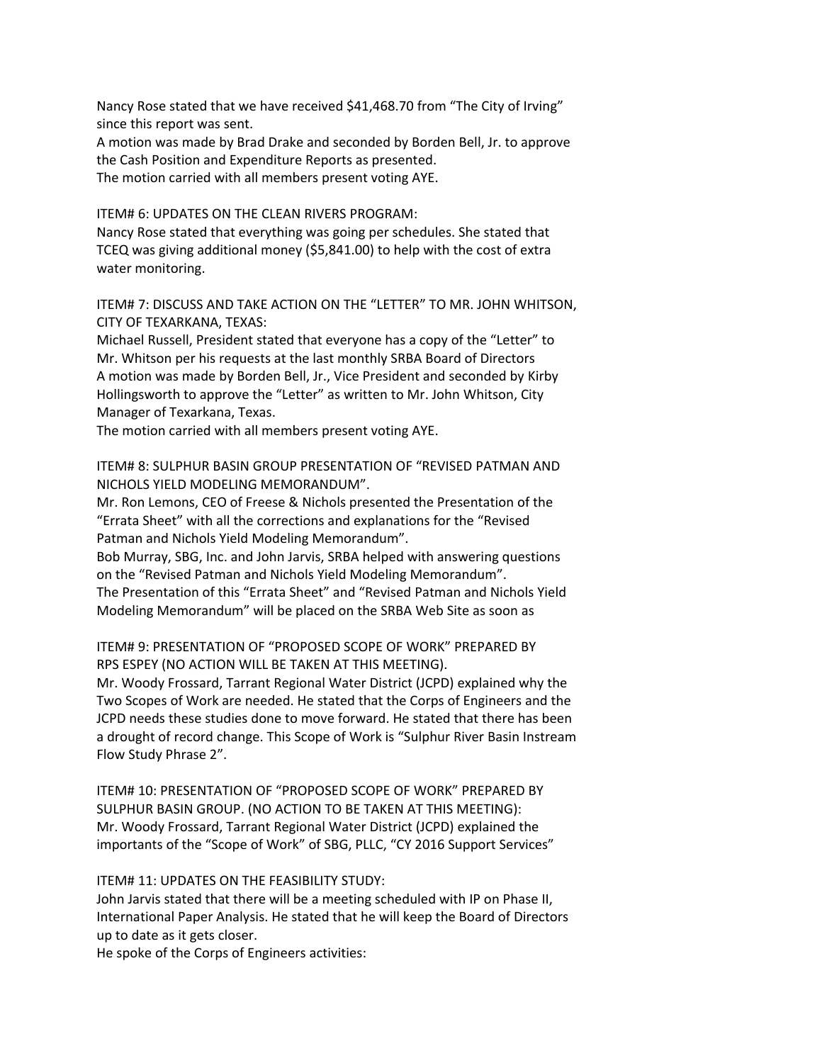Nancy Rose stated that we have received \$41,468.70 from "The City of Irving" since this report was sent.

A motion was made by Brad Drake and seconded by Borden Bell, Jr. to approve the Cash Position and Expenditure Reports as presented. The motion carried with all members present voting AYE.

ITEM# 6: UPDATES ON THE CLEAN RIVERS PROGRAM:

Nancy Rose stated that everything was going per schedules. She stated that TCEQ was giving additional money (\$5,841.00) to help with the cost of extra water monitoring.

ITEM# 7: DISCUSS AND TAKE ACTION ON THE "LETTER" TO MR. JOHN WHITSON, CITY OF TEXARKANA, TEXAS:

Michael Russell, President stated that everyone has a copy of the "Letter" to Mr. Whitson per his requests at the last monthly SRBA Board of Directors A motion was made by Borden Bell, Jr., Vice President and seconded by Kirby Hollingsworth to approve the "Letter" as written to Mr. John Whitson, City Manager of Texarkana, Texas.

The motion carried with all members present voting AYE.

ITEM# 8: SULPHUR BASIN GROUP PRESENTATION OF "REVISED PATMAN AND NICHOLS YIELD MODELING MEMORANDUM".

Mr. Ron Lemons, CEO of Freese & Nichols presented the Presentation of the "Errata Sheet" with all the corrections and explanations for the "Revised Patman and Nichols Yield Modeling Memorandum".

Bob Murray, SBG, Inc. and John Jarvis, SRBA helped with answering questions on the "Revised Patman and Nichols Yield Modeling Memorandum". The Presentation of this "Errata Sheet" and "Revised Patman and Nichols Yield Modeling Memorandum" will be placed on the SRBA Web Site as soon as

ITEM# 9: PRESENTATION OF "PROPOSED SCOPE OF WORK" PREPARED BY RPS ESPEY (NO ACTION WILL BE TAKEN AT THIS MEETING).

Mr. Woody Frossard, Tarrant Regional Water District (JCPD) explained why the Two Scopes of Work are needed. He stated that the Corps of Engineers and the JCPD needs these studies done to move forward. He stated that there has been a drought of record change. This Scope of Work is "Sulphur River Basin Instream Flow Study Phrase 2".

ITEM# 10: PRESENTATION OF "PROPOSED SCOPE OF WORK" PREPARED BY SULPHUR BASIN GROUP. (NO ACTION TO BE TAKEN AT THIS MEETING): Mr. Woody Frossard, Tarrant Regional Water District (JCPD) explained the importants of the "Scope of Work" of SBG, PLLC, "CY 2016 Support Services"

## ITEM# 11: UPDATES ON THE FEASIBILITY STUDY:

John Jarvis stated that there will be a meeting scheduled with IP on Phase II, International Paper Analysis. He stated that he will keep the Board of Directors up to date as it gets closer.

He spoke of the Corps of Engineers activities: